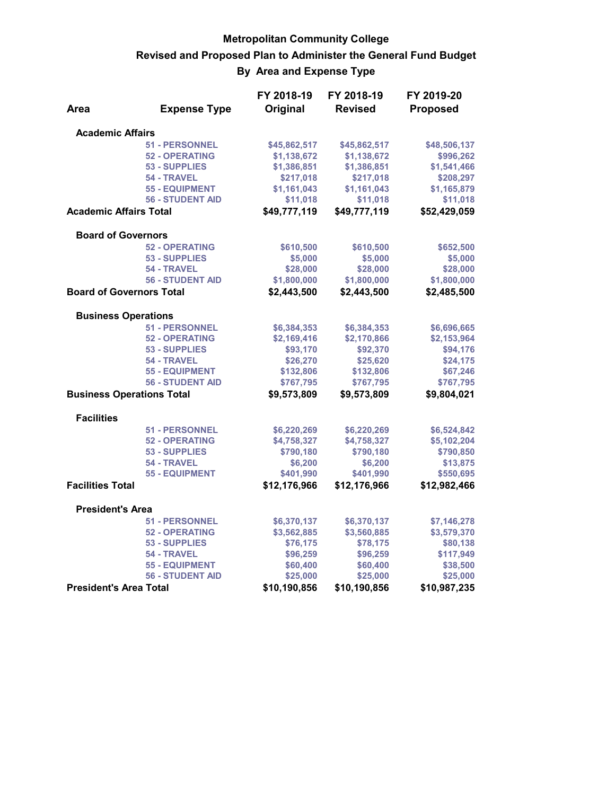## **Metropolitan Community College Revised and Proposed Plan to Administer the General Fund Budget By Area and Expense Type**

|                                  |                         | FY 2018-19   | FY 2018-19     | FY 2019-20      |
|----------------------------------|-------------------------|--------------|----------------|-----------------|
| Area                             | <b>Expense Type</b>     | Original     | <b>Revised</b> | <b>Proposed</b> |
| <b>Academic Affairs</b>          |                         |              |                |                 |
|                                  | <b>51 - PERSONNEL</b>   | \$45,862,517 | \$45,862,517   | \$48,506,137    |
|                                  | <b>52 - OPERATING</b>   | \$1,138,672  | \$1,138,672    | \$996,262       |
|                                  | <b>53 - SUPPLIES</b>    | \$1,386,851  | \$1,386,851    | \$1,541,466     |
|                                  | 54 - TRAVEL             | \$217,018    | \$217,018      | \$208,297       |
|                                  | <b>55 - EQUIPMENT</b>   | \$1,161,043  | \$1,161,043    | \$1,165,879     |
|                                  | <b>56 - STUDENT AID</b> | \$11,018     | \$11,018       | \$11,018        |
| <b>Academic Affairs Total</b>    |                         | \$49,777,119 | \$49,777,119   | \$52,429,059    |
| <b>Board of Governors</b>        |                         |              |                |                 |
|                                  | <b>52 - OPERATING</b>   | \$610,500    | \$610,500      | \$652,500       |
|                                  | <b>53 - SUPPLIES</b>    | \$5,000      | \$5,000        | \$5,000         |
|                                  | 54 - TRAVEL             | \$28,000     | \$28,000       | \$28,000        |
|                                  | <b>56 - STUDENT AID</b> | \$1,800,000  | \$1,800,000    | \$1,800,000     |
| <b>Board of Governors Total</b>  |                         | \$2,443,500  | \$2,443,500    | \$2,485,500     |
| <b>Business Operations</b>       |                         |              |                |                 |
|                                  | <b>51 - PERSONNEL</b>   | \$6,384,353  | \$6,384,353    | \$6,696,665     |
|                                  | <b>52 - OPERATING</b>   | \$2,169,416  | \$2,170,866    | \$2,153,964     |
|                                  | <b>53 - SUPPLIES</b>    | \$93,170     | \$92,370       | \$94,176        |
|                                  | 54 - TRAVEL             | \$26,270     | \$25,620       | \$24,175        |
|                                  | <b>55 - EQUIPMENT</b>   | \$132,806    | \$132,806      | \$67,246        |
|                                  | <b>56 - STUDENT AID</b> | \$767,795    | \$767,795      | \$767,795       |
| <b>Business Operations Total</b> |                         | \$9,573,809  | \$9,573,809    | \$9,804,021     |
| <b>Facilities</b>                |                         |              |                |                 |
|                                  | <b>51 - PERSONNEL</b>   | \$6,220,269  | \$6,220,269    | \$6,524,842     |
|                                  | <b>52 - OPERATING</b>   | \$4,758,327  | \$4,758,327    | \$5,102,204     |
|                                  | 53 - SUPPLIES           | \$790,180    | \$790,180      | \$790,850       |
|                                  | 54 - TRAVEL             | \$6,200      | \$6,200        | \$13,875        |
|                                  | <b>55 - EQUIPMENT</b>   | \$401,990    | \$401,990      | \$550,695       |
| <b>Facilities Total</b>          |                         | \$12,176,966 | \$12,176,966   | \$12,982,466    |
| <b>President's Area</b>          |                         |              |                |                 |
|                                  | <b>51 - PERSONNEL</b>   | \$6,370,137  | \$6,370,137    | \$7,146,278     |
|                                  | <b>52 - OPERATING</b>   | \$3,562,885  | \$3,560,885    | \$3,579,370     |
|                                  | 53 - SUPPLIES           | \$76,175     | \$78,175       | \$80,138        |
|                                  | 54 - TRAVEL             | \$96,259     | \$96,259       | \$117,949       |
|                                  | <b>55 - EQUIPMENT</b>   | \$60,400     | \$60,400       | \$38,500        |
|                                  | <b>56 - STUDENT AID</b> | \$25,000     | \$25,000       | \$25,000        |
| <b>President's Area Total</b>    |                         | \$10,190,856 | \$10,190,856   | \$10,987,235    |